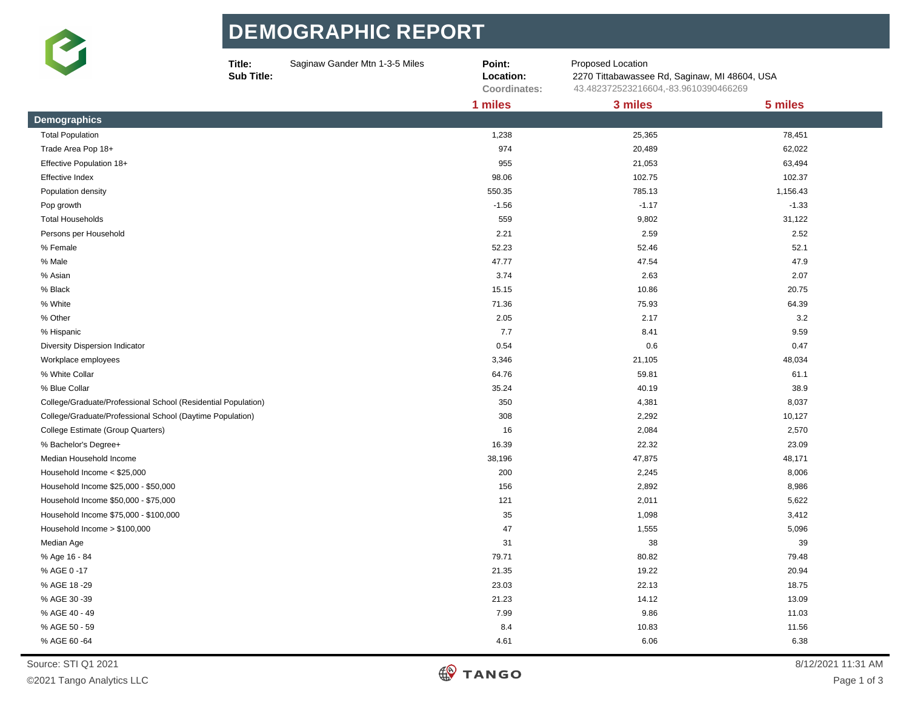

## **DE MOGR APHIC R EPORT**

|                                                               | Title:<br>Sub Title: | Saginaw Gander Mtn 1-3-5 Miles | Point:<br>Location:<br>Coordinates: | Proposed Location<br>2270 Tittabawassee Rd, Saginaw, MI 48604, USA<br>43.482372523216604,-83.9610390466269 |          |
|---------------------------------------------------------------|----------------------|--------------------------------|-------------------------------------|------------------------------------------------------------------------------------------------------------|----------|
|                                                               |                      |                                | 1 miles                             | 3 miles                                                                                                    | 5 miles  |
| <b>Demographics</b>                                           |                      |                                |                                     |                                                                                                            |          |
| <b>Total Population</b>                                       |                      |                                | 1,238                               | 25,365                                                                                                     | 78,451   |
| Trade Area Pop 18+                                            |                      |                                | 974                                 | 20,489                                                                                                     | 62,022   |
| Effective Population 18+                                      |                      |                                | 955                                 | 21,053                                                                                                     | 63,494   |
| Effective Index                                               |                      |                                | 98.06                               | 102.75                                                                                                     | 102.37   |
| Population density                                            |                      |                                | 550.35                              | 785.13                                                                                                     | 1,156.43 |
| Pop growth                                                    |                      |                                | $-1.56$                             | $-1.17$                                                                                                    | $-1.33$  |
| <b>Total Households</b>                                       |                      |                                | 559                                 | 9,802                                                                                                      | 31,122   |
| Persons per Household                                         |                      |                                | 2.21                                | 2.59                                                                                                       | 2.52     |
| % Female                                                      |                      |                                | 52.23                               | 52.46                                                                                                      | 52.1     |
| % Male                                                        |                      |                                | 47.77                               | 47.54                                                                                                      | 47.9     |
| % Asian                                                       |                      |                                | 3.74                                | 2.63                                                                                                       | 2.07     |
| % Black                                                       |                      |                                | 15.15                               | 10.86                                                                                                      | 20.75    |
| % White                                                       |                      |                                | 71.36                               | 75.93                                                                                                      | 64.39    |
| % Other                                                       |                      |                                | 2.05                                | 2.17                                                                                                       | 3.2      |
| % Hispanic                                                    |                      |                                | 7.7                                 | 8.41                                                                                                       | 9.59     |
| Diversity Dispersion Indicator                                |                      |                                | 0.54                                | 0.6                                                                                                        | 0.47     |
| Workplace employees                                           |                      |                                | 3,346                               | 21,105                                                                                                     | 48,034   |
| % White Collar                                                |                      |                                | 64.76                               | 59.81                                                                                                      | 61.1     |
| % Blue Collar                                                 |                      |                                | 35.24                               | 40.19                                                                                                      | 38.9     |
| College/Graduate/Professional School (Residential Population) |                      |                                | 350                                 | 4,381                                                                                                      | 8,037    |
| College/Graduate/Professional School (Daytime Population)     |                      |                                | 308                                 | 2,292                                                                                                      | 10,127   |
| College Estimate (Group Quarters)                             |                      |                                | 16                                  | 2,084                                                                                                      | 2,570    |
| % Bachelor's Degree+                                          |                      |                                | 16.39                               | 22.32                                                                                                      | 23.09    |
| Median Household Income                                       |                      |                                | 38,196                              | 47,875                                                                                                     | 48,171   |
| Household Income < \$25,000                                   |                      |                                | 200                                 | 2,245                                                                                                      | 8,006    |
| Household Income \$25,000 - \$50,000                          |                      |                                | 156                                 | 2,892                                                                                                      | 8,986    |
| Household Income \$50,000 - \$75,000                          |                      |                                | 121                                 | 2,011                                                                                                      | 5,622    |
| Household Income \$75,000 - \$100,000                         |                      |                                | 35                                  | 1,098                                                                                                      | 3,412    |
| Household Income > \$100,000                                  |                      |                                | 47                                  | 1,555                                                                                                      | 5,096    |
| Median Age                                                    |                      |                                | 31                                  | 38                                                                                                         | 39       |
| % Age 16 - 84                                                 |                      |                                | 79.71                               | 80.82                                                                                                      | 79.48    |
| % AGE 0 -17                                                   |                      |                                | 21.35                               | 19.22                                                                                                      | 20.94    |
| % AGE 18 -29                                                  |                      |                                | 23.03                               | 22.13                                                                                                      | 18.75    |
| % AGE 30 -39                                                  |                      |                                | 21.23                               | 14.12                                                                                                      | 13.09    |
| % AGE 40 - 49                                                 |                      |                                | 7.99                                | 9.86                                                                                                       | 11.03    |
| % AGE 50 - 59                                                 |                      |                                | 8.4                                 | 10.83                                                                                                      | 11.56    |
| % AGE 60 -64                                                  |                      |                                | 4.61                                | 6.06                                                                                                       | 6.38     |